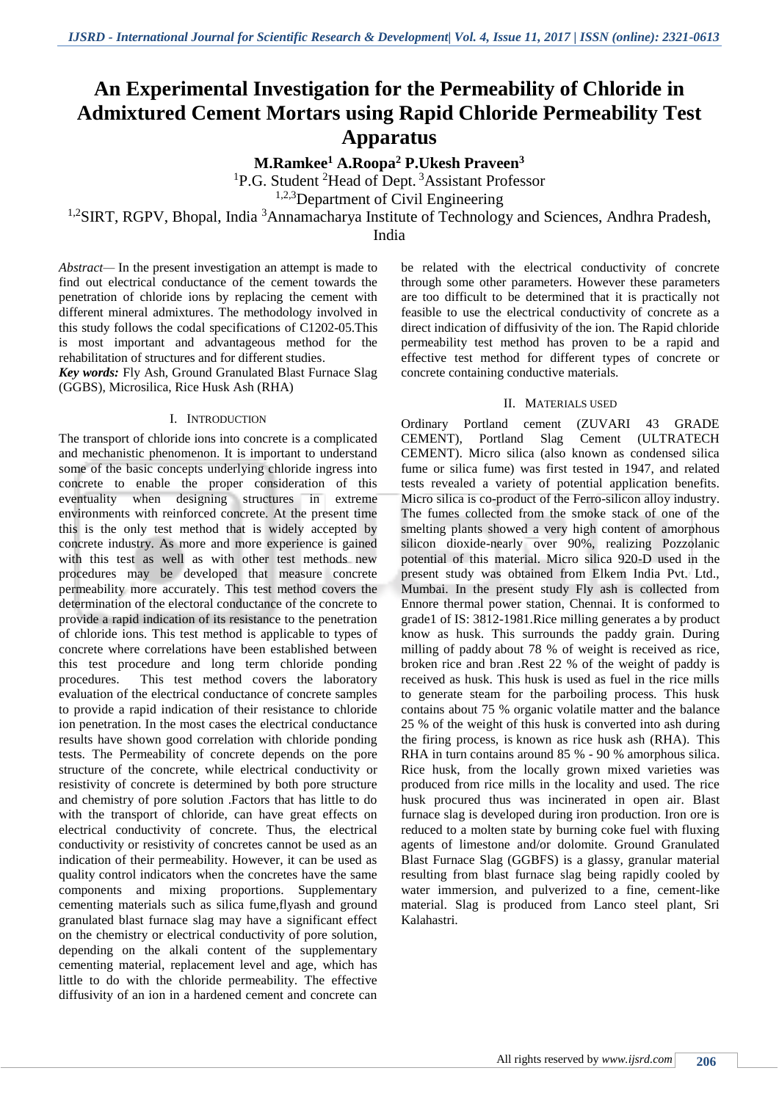# **An Experimental Investigation for the Permeability of Chloride in Admixtured Cement Mortars using Rapid Chloride Permeability Test Apparatus**

**M.Ramkee<sup>1</sup> A.Roopa<sup>2</sup> P.Ukesh Praveen<sup>3</sup>**

<sup>1</sup>P.G. Student <sup>2</sup>Head of Dept.<sup>3</sup>Assistant Professor

<sup>1,2,3</sup>Department of Civil Engineering

<sup>1,2</sup>SIRT, RGPV, Bhopal, India<sup>3</sup>Annamacharya Institute of Technology and Sciences, Andhra Pradesh,

India

*Abstract—* In the present investigation an attempt is made to find out electrical conductance of the cement towards the penetration of chloride ions by replacing the cement with different mineral admixtures. The methodology involved in this study follows the codal specifications of C1202-05.This is most important and advantageous method for the rehabilitation of structures and for different studies.

*Key words:* Fly Ash, Ground Granulated Blast Furnace Slag (GGBS), Microsilica, Rice Husk Ash (RHA)

#### I. INTRODUCTION

The transport of chloride ions into concrete is a complicated and mechanistic phenomenon. It is important to understand some of the basic concepts underlying chloride ingress into concrete to enable the proper consideration of this eventuality when designing structures in extreme environments with reinforced concrete. At the present time this is the only test method that is widely accepted by concrete industry. As more and more experience is gained with this test as well as with other test methods new procedures may be developed that measure concrete permeability more accurately. This test method covers the determination of the electoral conductance of the concrete to provide a rapid indication of its resistance to the penetration of chloride ions. This test method is applicable to types of concrete where correlations have been established between this test procedure and long term chloride ponding procedures. This test method covers the laboratory evaluation of the electrical conductance of concrete samples to provide a rapid indication of their resistance to chloride ion penetration. In the most cases the electrical conductance results have shown good correlation with chloride ponding tests. The Permeability of concrete depends on the pore structure of the concrete, while electrical conductivity or resistivity of concrete is determined by both pore structure and chemistry of pore solution .Factors that has little to do with the transport of chloride, can have great effects on electrical conductivity of concrete. Thus, the electrical conductivity or resistivity of concretes cannot be used as an indication of their permeability. However, it can be used as quality control indicators when the concretes have the same components and mixing proportions. Supplementary cementing materials such as silica fume,flyash and ground granulated blast furnace slag may have a significant effect on the chemistry or electrical conductivity of pore solution, depending on the alkali content of the supplementary cementing material, replacement level and age, which has little to do with the chloride permeability. The effective diffusivity of an ion in a hardened cement and concrete can

be related with the electrical conductivity of concrete through some other parameters. However these parameters are too difficult to be determined that it is practically not feasible to use the electrical conductivity of concrete as a direct indication of diffusivity of the ion. The Rapid chloride permeability test method has proven to be a rapid and effective test method for different types of concrete or concrete containing conductive materials.

### II. MATERIALS USED

Ordinary Portland cement (ZUVARI 43 GRADE CEMENT), Portland Slag Cement (ULTRATECH CEMENT). Micro silica (also known as condensed silica fume or silica fume) was first tested in 1947, and related tests revealed a variety of potential application benefits. Micro silica is co-product of the Ferro-silicon alloy industry. The fumes collected from the smoke stack of one of the smelting plants showed a very high content of amorphous silicon dioxide-nearly over 90%, realizing Pozzolanic potential of this material. Micro silica 920-D used in the present study was obtained from Elkem India Pvt. Ltd., Mumbai. In the present study Fly ash is collected from Ennore thermal power station, Chennai. It is conformed to grade1 of IS: 3812-1981.Rice milling generates a by product know as husk. This surrounds the paddy grain. During milling of paddy about 78 % of weight is received as rice, broken rice and bran .Rest 22 % of the weight of paddy is received as husk. This husk is used as fuel in the rice mills to generate steam for the parboiling process. This husk contains about 75 % organic volatile matter and the balance 25 % of the weight of this husk is converted into ash during the firing process, is known as rice husk ash (RHA). This RHA in turn contains around 85 % - 90 % amorphous silica. Rice husk, from the locally grown mixed varieties was produced from rice mills in the locality and used. The rice husk procured thus was incinerated in open air. Blast furnace slag is developed during iron production. Iron ore is reduced to a molten state by burning coke fuel with fluxing agents of limestone and/or dolomite. Ground Granulated Blast Furnace Slag (GGBFS) is a glassy, granular material resulting from blast furnace slag being rapidly cooled by water immersion, and pulverized to a fine, cement-like material. Slag is produced from Lanco steel plant, Sri Kalahastri.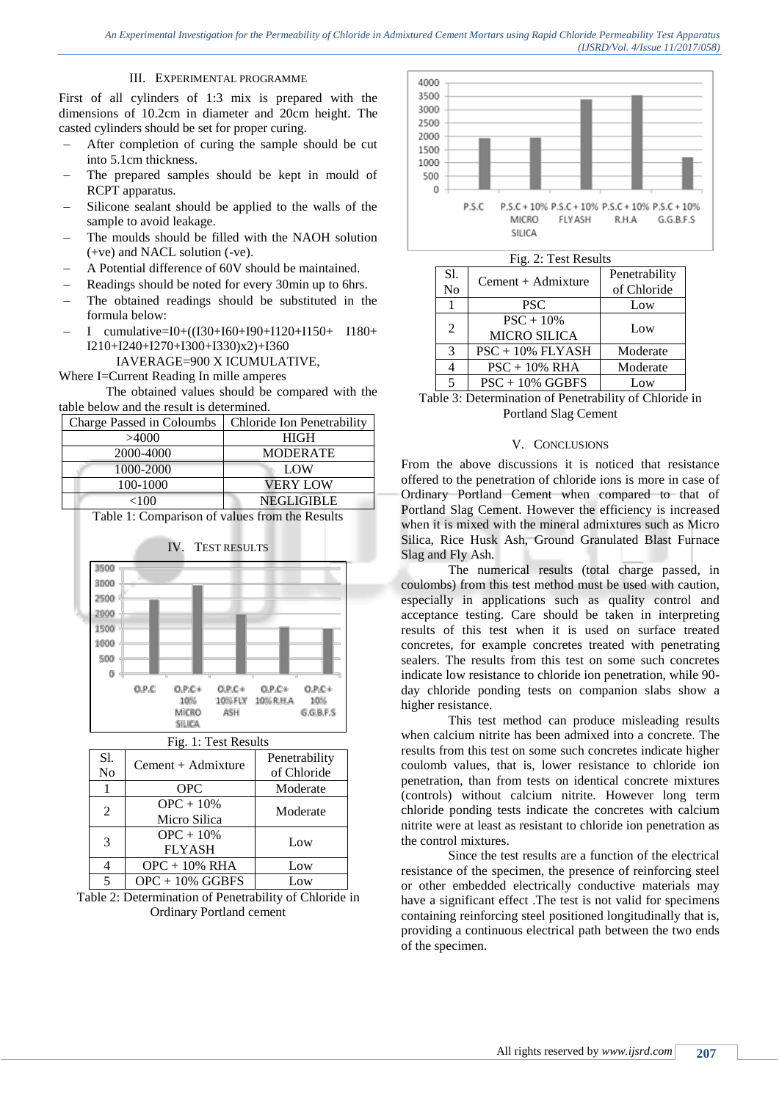## III. EXPERIMENTAL PROGRAMME

First of all cylinders of 1:3 mix is prepared with the dimensions of 10.2cm in diameter and 20cm height. The casted cylinders should be set for proper curing.

- After completion of curing the sample should be cut into 5.1cm thickness.
- The prepared samples should be kept in mould of RCPT apparatus.
- Silicone sealant should be applied to the walls of the sample to avoid leakage.
- The moulds should be filled with the NAOH solution (+ve) and NACL solution (-ve).
- A Potential difference of 60V should be maintained.
- Readings should be noted for every 30min up to 6hrs.
- The obtained readings should be substituted in the formula below:
- I cumulative=I0+((I30+I60+I90+I120+I150+ I180+ I210+I240+I270+I300+I330)x2)+I360

IAVERAGE=900 X ICUMULATIVE,

Where I=Current Reading In mille amperes

The obtained values should be compared with the table below and the result is determined.

| Charge Passed in Coloumbs | Chloride Ion Penetrability |
|---------------------------|----------------------------|
| >4000                     | <b>HIGH</b>                |
| 2000-4000                 | <b>MODERATE</b>            |
| 1000-2000                 | LOW                        |
| 100-1000                  | <b>VERY LOW</b>            |
| <100                      | <b>NEGLIGIBLE</b>          |

Table 1: Comparison of values from the Results



| S1.<br>N <sub>0</sub> | Cement + Admixture           | Penetrability<br>of Chloride |
|-----------------------|------------------------------|------------------------------|
|                       | <b>OPC</b>                   | Moderate                     |
| $\mathfrak{D}$        | $OPC + 10%$<br>Micro Silica  | Moderate                     |
| 3                     | $OPC + 10%$<br><b>FLYASH</b> | Low                          |
|                       | $OPC + 10\% RHA$             | Low                          |
| ς                     | $OPC + 10\%$ GGBFS           | Low                          |

Table 2: Determination of Penetrability of Chloride in Ordinary Portland cement





| S1.<br>N <sub>o</sub> | $Cement + Admixture$               | Penetrability<br>of Chloride |
|-----------------------|------------------------------------|------------------------------|
|                       | <b>PSC</b>                         | Low                          |
| 2                     | $PSC + 10%$<br><b>MICRO SILICA</b> | Low                          |
| 3                     | $PSC + 10\%$ FLYASH                | Moderate                     |
| 4                     | $PSC + 10\% RHA$                   | Moderate                     |
| 5                     | $PSC + 10\%$ GGBFS                 | Low                          |
|                       |                                    |                              |

Table 3: Determination of Penetrability of Chloride in Portland Slag Cement

#### V. CONCLUSIONS

From the above discussions it is noticed that resistance offered to the penetration of chloride ions is more in case of Ordinary Portland Cement when compared to that of Portland Slag Cement. However the efficiency is increased when it is mixed with the mineral admixtures such as Micro Silica, Rice Husk Ash, Ground Granulated Blast Furnace Slag and Fly Ash.

The numerical results (total charge passed, in coulombs) from this test method must be used with caution, especially in applications such as quality control and acceptance testing. Care should be taken in interpreting results of this test when it is used on surface treated concretes, for example concretes treated with penetrating sealers. The results from this test on some such concretes indicate low resistance to chloride ion penetration, while 90 day chloride ponding tests on companion slabs show a higher resistance.

This test method can produce misleading results when calcium nitrite has been admixed into a concrete. The results from this test on some such concretes indicate higher coulomb values, that is, lower resistance to chloride ion penetration, than from tests on identical concrete mixtures (controls) without calcium nitrite. However long term chloride ponding tests indicate the concretes with calcium nitrite were at least as resistant to chloride ion penetration as the control mixtures.

Since the test results are a function of the electrical resistance of the specimen, the presence of reinforcing steel or other embedded electrically conductive materials may have a significant effect .The test is not valid for specimens containing reinforcing steel positioned longitudinally that is, providing a continuous electrical path between the two ends of the specimen.